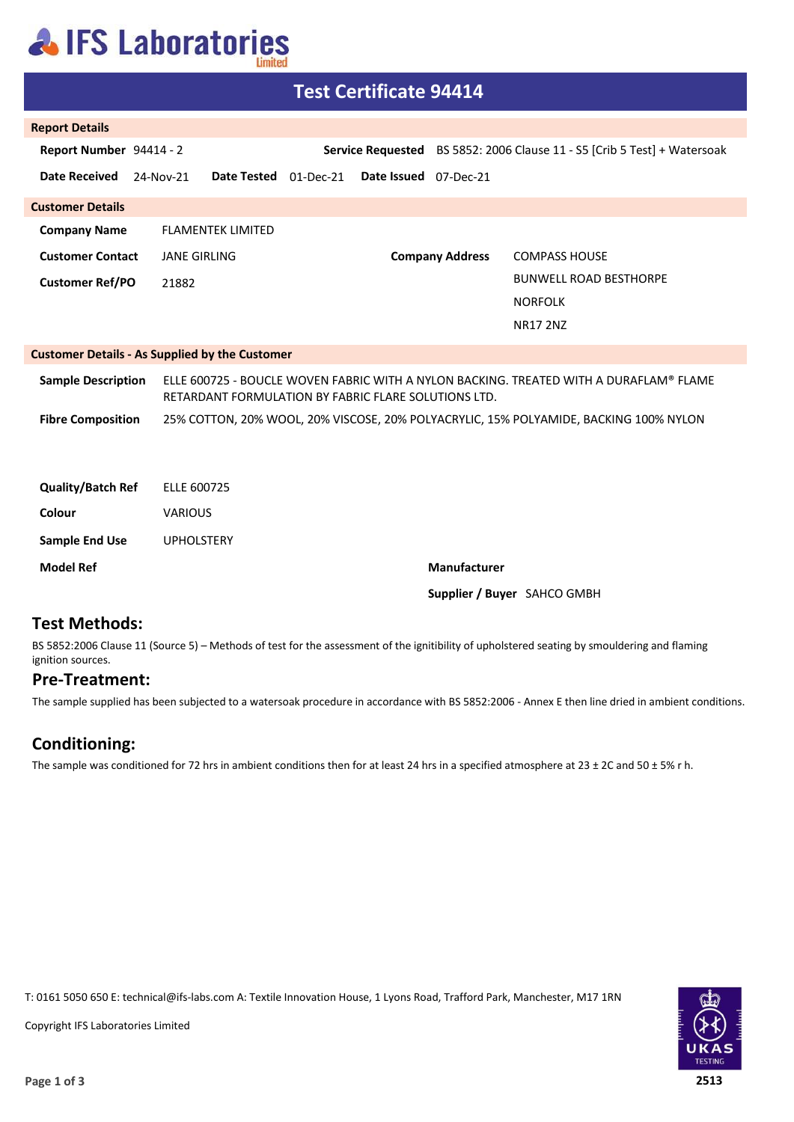## **AIFS Laboratories**

| <b>Test Certificate 94414</b>                         |                                                                                                                                                |                       |                        |                                                                                       |  |  |
|-------------------------------------------------------|------------------------------------------------------------------------------------------------------------------------------------------------|-----------------------|------------------------|---------------------------------------------------------------------------------------|--|--|
| <b>Report Details</b>                                 |                                                                                                                                                |                       |                        |                                                                                       |  |  |
| Report Number 94414 - 2                               |                                                                                                                                                |                       |                        | Service Requested BS 5852: 2006 Clause 11 - S5 [Crib 5 Test] + Watersoak              |  |  |
| <b>Date Received</b>                                  | Date Tested 01-Dec-21<br>24-Nov-21                                                                                                             | Date Issued 07-Dec-21 |                        |                                                                                       |  |  |
| <b>Customer Details</b>                               |                                                                                                                                                |                       |                        |                                                                                       |  |  |
| <b>Company Name</b>                                   | <b>FLAMENTEK LIMITED</b>                                                                                                                       |                       |                        |                                                                                       |  |  |
| <b>Customer Contact</b>                               | <b>JANE GIRLING</b>                                                                                                                            |                       | <b>Company Address</b> | <b>COMPASS HOUSE</b>                                                                  |  |  |
| <b>Customer Ref/PO</b>                                | 21882                                                                                                                                          |                       |                        | <b>BUNWELL ROAD BESTHORPE</b>                                                         |  |  |
|                                                       |                                                                                                                                                |                       |                        | <b>NORFOLK</b>                                                                        |  |  |
|                                                       |                                                                                                                                                |                       |                        | <b>NR17 2NZ</b>                                                                       |  |  |
| <b>Customer Details - As Supplied by the Customer</b> |                                                                                                                                                |                       |                        |                                                                                       |  |  |
| <b>Sample Description</b>                             | ELLE 600725 - BOUCLE WOVEN FABRIC WITH A NYLON BACKING. TREATED WITH A DURAFLAM® FLAME<br>RETARDANT FORMULATION BY FABRIC FLARE SOLUTIONS LTD. |                       |                        |                                                                                       |  |  |
| <b>Fibre Composition</b>                              |                                                                                                                                                |                       |                        | 25% COTTON, 20% WOOL, 20% VISCOSE, 20% POLYACRYLIC, 15% POLYAMIDE, BACKING 100% NYLON |  |  |
|                                                       |                                                                                                                                                |                       |                        |                                                                                       |  |  |
| <b>Quality/Batch Ref</b>                              | ELLE 600725                                                                                                                                    |                       |                        |                                                                                       |  |  |
| Colour                                                | <b>VARIOUS</b>                                                                                                                                 |                       |                        |                                                                                       |  |  |
| <b>Sample End Use</b>                                 | <b>UPHOLSTERY</b>                                                                                                                              |                       |                        |                                                                                       |  |  |
| <b>Model Ref</b>                                      |                                                                                                                                                |                       | Manufacturer           |                                                                                       |  |  |
|                                                       | Supplier / Buyer SAHCO GMBH                                                                                                                    |                       |                        |                                                                                       |  |  |
| . <i>.</i>                                            |                                                                                                                                                |                       |                        |                                                                                       |  |  |

#### **Test Methods:**

BS 5852:2006 Clause 11 (Source 5) – Methods of test for the assessment of the ignitibility of upholstered seating by smouldering and flaming ignition sources.

#### **Pre-Treatment:**

The sample supplied has been subjected to a watersoak procedure in accordance with BS 5852:2006 - Annex E then line dried in ambient conditions.

### **Conditioning:**

The sample was conditioned for 72 hrs in ambient conditions then for at least 24 hrs in a specified atmosphere at 23 ± 2C and 50 ± 5% r h.

T: 0161 5050 650 E: technical@ifs-labs.com A: Textile Innovation House, 1 Lyons Road, Trafford Park, Manchester, M17 1RN



Copyright IFS Laboratories Limited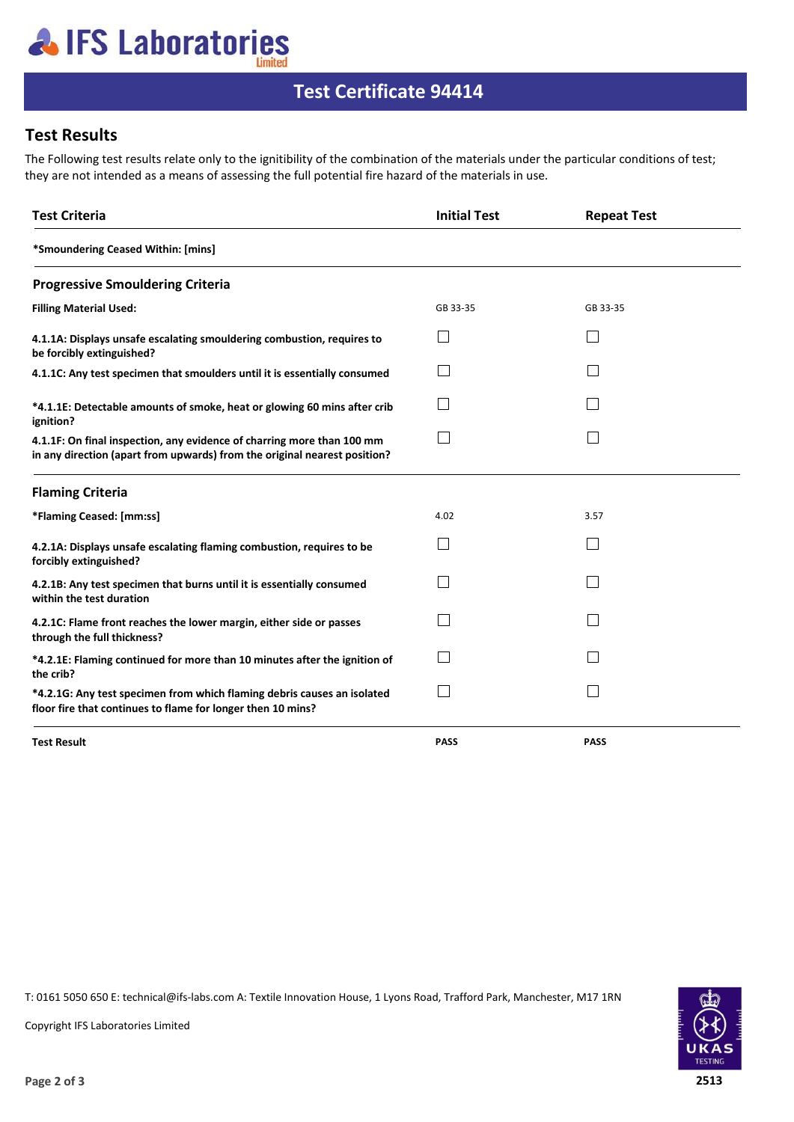# **AIFS Laboratories**

### **Test Certificate 94414**

### **Test Results**

The Following test results relate only to the ignitibility of the combination of the materials under the particular conditions of test; they are not intended as a means of assessing the full potential fire hazard of the materials in use.

| <b>Test Criteria</b>                                                                                                                                | <b>Initial Test</b> | <b>Repeat Test</b> |  |
|-----------------------------------------------------------------------------------------------------------------------------------------------------|---------------------|--------------------|--|
| *Smoundering Ceased Within: [mins]                                                                                                                  |                     |                    |  |
| <b>Progressive Smouldering Criteria</b>                                                                                                             |                     |                    |  |
| <b>Filling Material Used:</b>                                                                                                                       | GB 33-35            | GB 33-35           |  |
| 4.1.1A: Displays unsafe escalating smouldering combustion, requires to<br>be forcibly extinguished?                                                 |                     |                    |  |
| 4.1.1C: Any test specimen that smoulders until it is essentially consumed                                                                           |                     |                    |  |
| *4.1.1E: Detectable amounts of smoke, heat or glowing 60 mins after crib<br>ignition?                                                               |                     |                    |  |
| 4.1.1F: On final inspection, any evidence of charring more than 100 mm<br>in any direction (apart from upwards) from the original nearest position? |                     |                    |  |
| <b>Flaming Criteria</b>                                                                                                                             |                     |                    |  |
| *Flaming Ceased: [mm:ss]                                                                                                                            | 4.02                | 3.57               |  |
| 4.2.1A: Displays unsafe escalating flaming combustion, requires to be<br>forcibly extinguished?                                                     |                     |                    |  |
| 4.2.1B: Any test specimen that burns until it is essentially consumed<br>within the test duration                                                   |                     |                    |  |
| 4.2.1C: Flame front reaches the lower margin, either side or passes<br>through the full thickness?                                                  |                     |                    |  |
| *4.2.1E: Flaming continued for more than 10 minutes after the ignition of<br>the crib?                                                              |                     |                    |  |
| *4.2.1G: Any test specimen from which flaming debris causes an isolated<br>floor fire that continues to flame for longer then 10 mins?              |                     |                    |  |
| <b>Test Result</b>                                                                                                                                  | <b>PASS</b>         | <b>PASS</b>        |  |

T: 0161 5050 650 E: technical@ifs-labs.com A: Textile Innovation House, 1 Lyons Road, Trafford Park, Manchester, M17 1RN



Copyright IFS Laboratories Limited